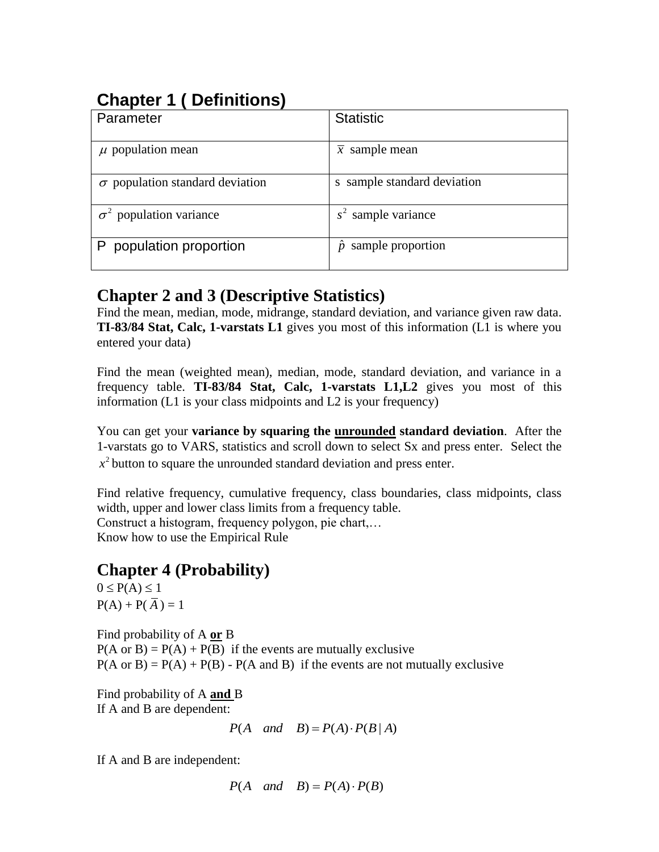# **Chapter 1 ( Definitions)**

| Parameter                              | <b>Statistic</b>                          |
|----------------------------------------|-------------------------------------------|
| $\mu$ population mean                  | $\overline{x}$ sample mean                |
| $\sigma$ population standard deviation | s sample standard deviation               |
| $\sigma^2$ population variance         | $s2$ sample variance                      |
| population proportion                  | sample proportion<br>$\ddot{\mathcal{D}}$ |

## **Chapter 2 and 3 (Descriptive Statistics)**

Find the mean, median, mode, midrange, standard deviation, and variance given raw data. **TI-83/84 Stat, Calc, 1-varstats L1** gives you most of this information (L1 is where you entered your data)

Find the mean (weighted mean), median, mode, standard deviation, and variance in a frequency table. **TI-83/84 Stat, Calc, 1-varstats L1,L2** gives you most of this information (L1 is your class midpoints and L2 is your frequency)

You can get your **variance by squaring the unrounded standard deviation**. After the 1-varstats go to VARS, statistics and scroll down to select Sx and press enter. Select the  $x<sup>2</sup>$  button to square the unrounded standard deviation and press enter.

Find relative frequency, cumulative frequency, class boundaries, class midpoints, class width, upper and lower class limits from a frequency table. Construct a histogram, frequency polygon, pie chart,… Know how to use the Empirical Rule

## **Chapter 4 (Probability)**

 $0 \leq P(A) \leq 1$  $P(A) + P(A) = 1$ 

Find probability of A **or** B  $P(A \text{ or } B) = P(A) + P(B)$  if the events are mutually exclusive  $P(A \text{ or } B) = P(A) + P(B) - P(A \text{ and } B)$  if the events are not mutually exclusive

Find probability of A **and** B If A and B are dependent:

 $P(A \quad and \quad B) = P(A) \cdot P(B \mid A)$ 

If A and B are independent:

 $P(A \text{ and } B) = P(A) \cdot P(B)$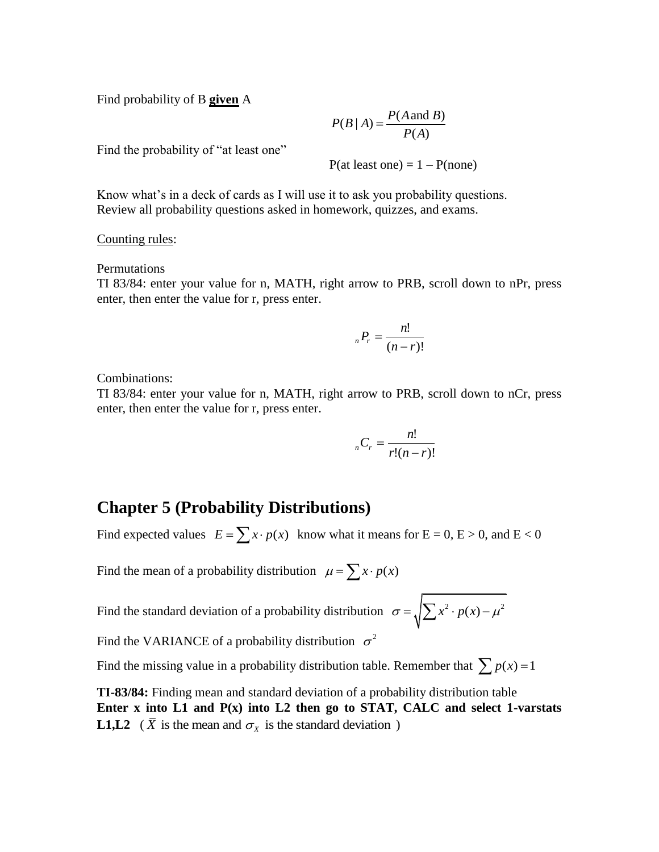Find probability of B **given** A

 $(B | A) = \frac{P(A \text{ and } B)}{P(A)}$  $\frac{1}{(A)}$  $P(B | A) = \frac{P(A \text{ and } B)}{P(A)}$  $=\frac{P(A)}{P(A)}$ 

Find the probability of "at least one"

 $P(at least one) = 1 - P(none)$ 

Know what's in a deck of cards as I will use it to ask you probability questions. Review all probability questions asked in homework, quizzes, and exams.

Counting rules:

Permutations

TI 83/84: enter your value for n, MATH, right arrow to PRB, scroll down to nPr, press enter, then enter the value for r, press enter.

$$
{}_{n}P_{r}=\frac{n!}{(n-r)!}
$$

Combinations:

TI 83/84: enter your value for n, MATH, right arrow to PRB, scroll down to nCr, press enter, then enter the value for r, press enter.

$$
{}_{n}C_{r}=\frac{n!}{r!(n-r)!}
$$

### **Chapter 5 (Probability Distributions)**

Find expected values  $E = \sum x \cdot p(x)$  know what it means for  $E = 0$ ,  $E > 0$ , and  $E < 0$ 

Find the mean of a probability distribution  $\mu = \sum x \cdot p(x)$ 

Find the standard deviation of a probability distribution  $\sigma = \sqrt{\sum x^2 \cdot p(x) - \mu^2}$ 

Find the VARIANCE of a probability distribution  $\sigma^2$ 

Find the missing value in a probability distribution table. Remember that  $\sum p(x) = 1$ 

**TI-83/84:** Finding mean and standard deviation of a probability distribution table **Enter x into L1 and P(x) into L2 then go to STAT, CALC and select 1-varstats L1,L2** ( $\overline{X}$  is the mean and  $\sigma_X$  is the standard deviation)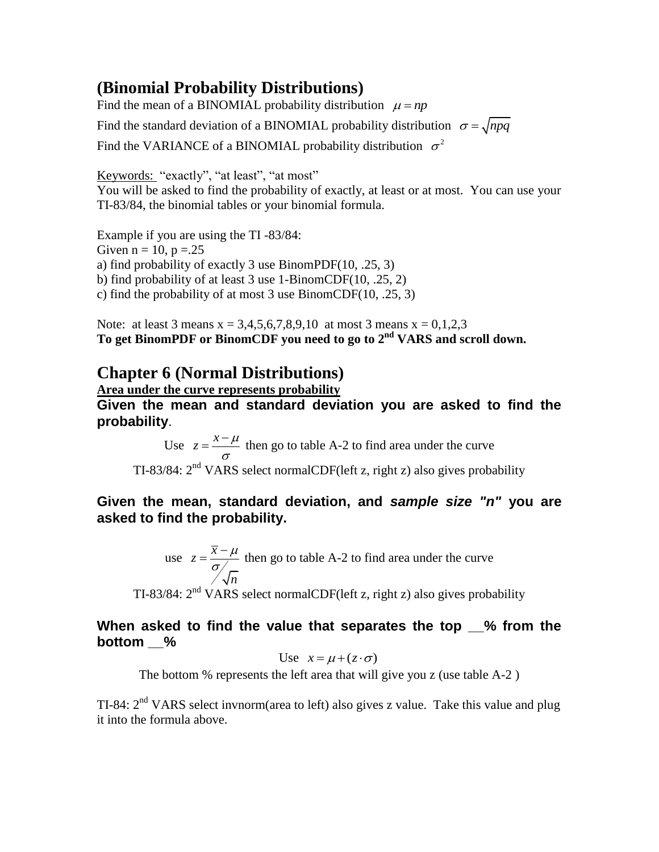## **(Binomial Probability Distributions)**

Find the mean of a BINOMIAL probability distribution  $\mu = np$ Find the standard deviation of a BINOMIAL probability distribution  $\sigma = \sqrt{npq}$ Find the VARIANCE of a BINOMIAL probability distribution  $\sigma^2$ 

Keywords: "exactly", "at least", "at most" You will be asked to find the probability of exactly, at least or at most. You can use your TI-83/84, the binomial tables or your binomial formula.

Example if you are using the TI -83/84:

Given  $n = 10$ ,  $p = 25$ 

a) find probability of exactly 3 use BinomPDF(10, .25, 3)

b) find probability of at least 3 use 1-BinomCDF(10, .25, 2)

c) find the probability of at most 3 use BinomCDF(10, .25, 3)

Note: at least 3 means  $x = 3,4,5,6,7,8,9,10$  at most 3 means  $x = 0,1,2,3$ **To get BinomPDF or BinomCDF you need to go to 2nd VARS and scroll down.**

## **Chapter 6 (Normal Distributions)**

**Area under the curve represents probability**

**Given the mean and standard deviation you are asked to find the probability**.

Use  $z = \frac{x - \mu}{\sigma}$ σ  $=\frac{x-\mu}{x}$  then go to table A-2 to find area under the curve TI-83/84:  $2<sup>nd</sup> VARS select normalCDF(left z, right z) also gives probability$ 

### **Given the mean, standard deviation, and** *sample size "n"* **you are asked to find the probability.**

use 
$$
z = {\frac{\overline{x} - \mu}{\sigma \sqrt{n}}}
$$
 then go to table A-2 to find area under the curve

TI-83/84:  $2<sup>nd</sup> VARS$  select normalCDF(left z, right z) also gives probability

### **When asked to find the value that separates the top \_\_% from the bottom \_\_%**

Use 
$$
x = \mu + (z \cdot \sigma)
$$

The bottom % represents the left area that will give you z (use table A-2 )

TI-84:  $2<sup>nd</sup> VARS select invnorm(area to left) also gives z value. Take this value and plug$ it into the formula above.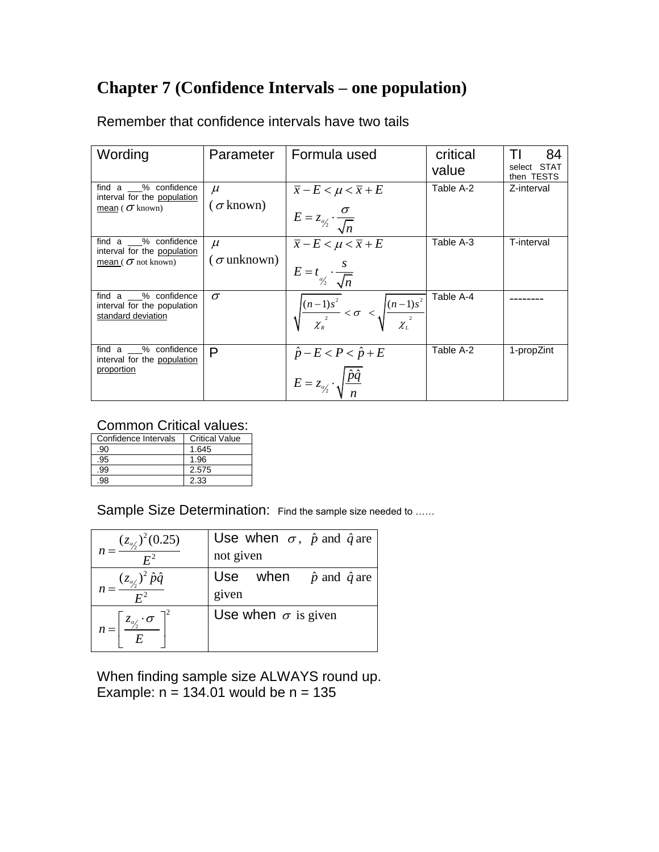## **Chapter 7 (Confidence Intervals – one population)**

| Wording                                                                          | Parameter                    | Formula used                                                                                              | critical<br>value | 84<br>select STAT<br>then TESTS |
|----------------------------------------------------------------------------------|------------------------------|-----------------------------------------------------------------------------------------------------------|-------------------|---------------------------------|
| find a % confidence<br>interval for the population<br>mean ( $\sigma$ known)     | $\mu$<br>$(\sigma$ known)    | $\overline{x}$ – $E < \mu < \overline{x}$ + $E$<br>$E=z_{\alpha'_2}\cdot\frac{\sigma}{\sqrt{n}}$          | Table A-2         | Z-interval                      |
| find a % confidence<br>interval for the population<br>mean ( $\sigma$ not known) | $\mu$<br>( $\sigma$ unknown) | $\overline{\overline{x}}$ – $E < \mu < \overline{x}$ + $E$<br>$E = t_{\alpha/2} \cdot \frac{s}{\sqrt{n}}$ | Table A-3         | T-interval                      |
| find a % confidence<br>interval for the population<br>standard deviation         | $\sigma$                     | $\sqrt{\frac{(n-1)s^2}{\chi_n^2}} < \sigma < \sqrt{\frac{(n-1)s^2}{\chi_n^2}}$                            | Table A-4         |                                 |
| % confidence<br>find a<br>interval for the population<br>proportion              | P                            | $\hat{p} - E < P < \hat{p} + E$<br>$E = z_{\alpha/2} \cdot \sqrt{\frac{\hat{p}\hat{q}}{n}}$               | Table A-2         | 1-propZint                      |

Remember that confidence intervals have two tails

### Common Critical values:

| Confidence Intervals | <b>Critical Value</b> |
|----------------------|-----------------------|
| .90                  | 1.645                 |
| .95                  | 1.96                  |
| .99                  | 2.575                 |
| 98                   | 2.33                  |

Sample Size Determination: Find the sample size needed to ......

| $n = \frac{(z_{\alpha/2})^2 (0.25)}{n}$                  | Use when $\sigma$ , $\hat{p}$ and $\hat{q}$ are |
|----------------------------------------------------------|-------------------------------------------------|
|                                                          | not given                                       |
| $n = \frac{(z_{\alpha/2})^2 \hat{p} \hat{q}}{E^2}$       | Use when $\hat{p}$ and $\hat{q}$ are            |
|                                                          | given                                           |
| $n = \left[\frac{z_{\alpha/2} \cdot \sigma}{E}\right]^2$ | Use when $\sigma$ is given                      |

When finding sample size ALWAYS round up. Example:  $n = 134.01$  would be  $n = 135$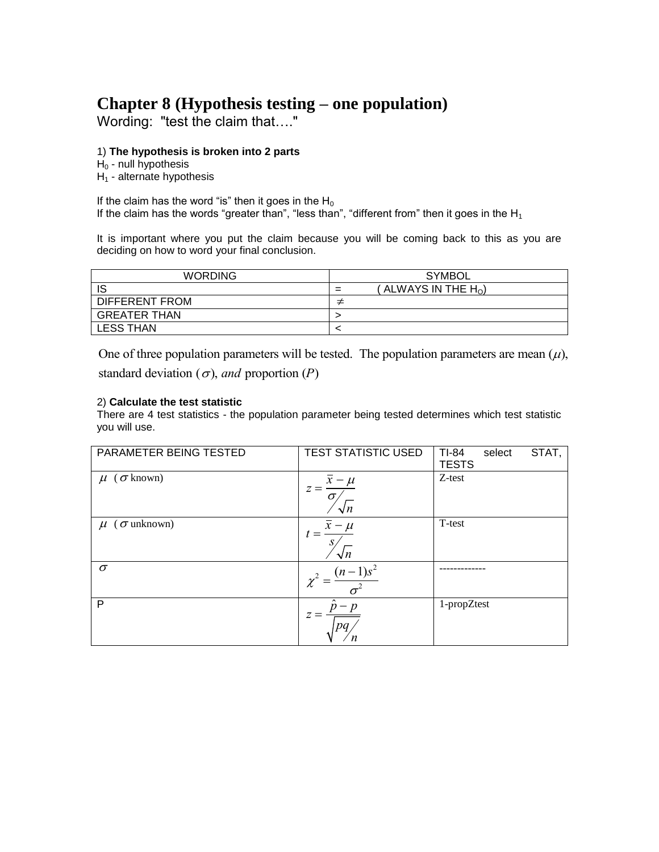## **Chapter 8 (Hypothesis testing – one population)**

Wording: "test the claim that…."

#### 1) **The hypothesis is broken into 2 parts**

 $H<sub>0</sub>$  - null hypothesis

 $H_1$  - alternate hypothesis

If the claim has the word "is" then it goes in the  $H_0$ If the claim has the words "greater than", "less than", "different from" then it goes in the  $H_1$ 

It is important where you put the claim because you will be coming back to this as you are deciding on how to word your final conclusion.

| <b>WORDING</b>      | SYMBOL                       |
|---------------------|------------------------------|
| IS                  | ALWAYS IN THE $H_{\Omega}$ ) |
| DIFFERENT FROM      |                              |
| <b>GREATER THAN</b> |                              |
| <b>LESS THAN</b>    |                              |

One of three population parameters will be tested. The population parameters are mean  $(\mu)$ , standard deviation ( $\sigma$ ), *and* proportion (*P*)

#### 2) **Calculate the test statistic**

There are 4 test statistics - the population parameter being tested determines which test statistic you will use.

| PARAMETER BEING TESTED    | <b>TEST STATISTIC USED</b>                              | STAT,<br>TI-84<br>select<br><b>TESTS</b> |
|---------------------------|---------------------------------------------------------|------------------------------------------|
| $\mu$ ( $\sigma$ known)   | $\overline{x} - \mu$<br>$z =$<br>$\sigma$<br>$\sqrt{n}$ | Z-test                                   |
| $\mu$ ( $\sigma$ unknown) | - µ<br>$\sqrt{n}$                                       | T-test                                   |
| $\sigma$                  | $(n-$                                                   |                                          |
| P                         | $\sim$<br>Ζ                                             | 1-propZtest                              |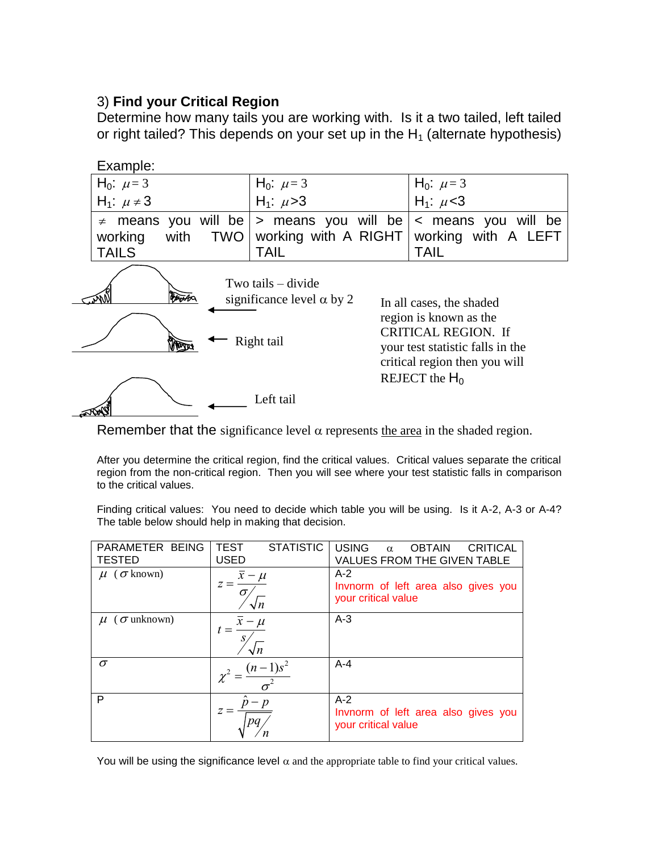### 3) **Find your Critical Region**

Determine how many tails you are working with. Is it a two tailed, left tailed or right tailed? This depends on your set up in the  $H_1$  (alternate hypothesis)



Remember that the significance level  $\alpha$  represents the area in the shaded region.

After you determine the critical region, find the critical values. Critical values separate the critical region from the non-critical region. Then you will see where your test statistic falls in comparison to the critical values.

Finding critical values: You need to decide which table you will be using. Is it A-2, A-3 or A-4? The table below should help in making that decision.

| PARAMETER BEING<br><b>TESTED</b> | <b>STATISTIC</b><br>TEST<br><b>USED</b> | <b>USING</b><br><b>CRITICAL</b><br><b>OBTAIN</b><br>$\alpha$<br><b>VALUES FROM THE GIVEN TABLE</b> |
|----------------------------------|-----------------------------------------|----------------------------------------------------------------------------------------------------|
| $\mu$ ( $\sigma$ known)          | $\sigma$                                | $A-2$<br>Invnorm of left area also gives you<br>your critical value                                |
| $\mu$ ( $\sigma$ unknown)        |                                         | $A-3$                                                                                              |
| $\sigma$                         | $(n-1)s^2$                              | $A - 4$                                                                                            |
| P                                |                                         | $A-2$<br>Invnorm of left area also gives you<br>your critical value                                |

You will be using the significance level  $\alpha$  and the appropriate table to find your critical values.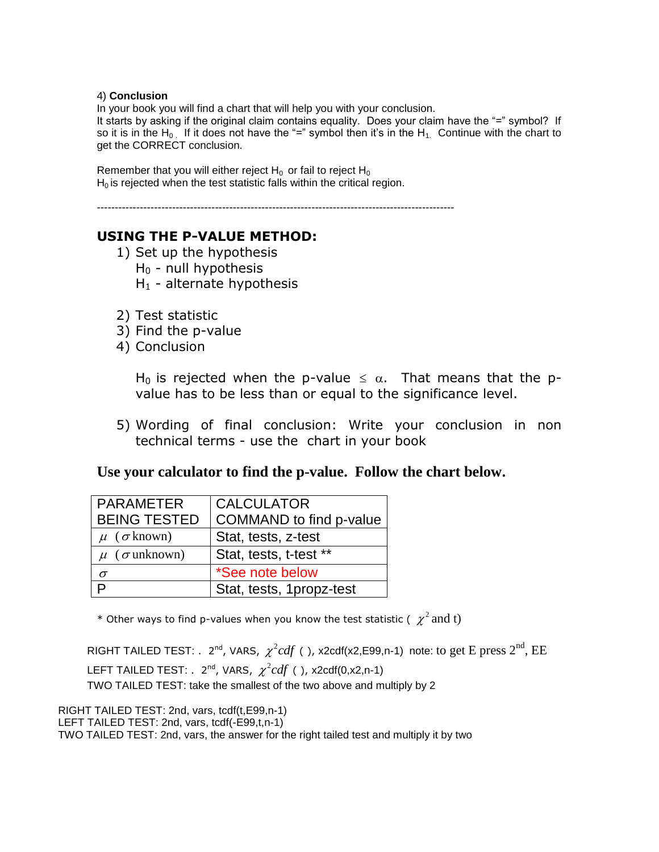#### 4) **Conclusion**

In your book you will find a chart that will help you with your conclusion.

It starts by asking if the original claim contains equality. Does your claim have the "=" symbol? If so it is in the H<sub>0</sub> If it does not have the "=" symbol then it's in the H<sub>1</sub>. Continue with the chart to get the CORRECT conclusion.

Remember that you will either reject  $H_0$  or fail to reject  $H_0$  $H<sub>0</sub>$  is rejected when the test statistic falls within the critical region.

----------------------------------------------------------------------------------------------------

### **USING THE P-VALUE METHOD:**

- 1) Set up the hypothesis  $H_0$  - null hypothesis  $H_1$  - alternate hypothesis
- 2) Test statistic
- 3) Find the p-value
- 4) Conclusion

H<sub>0</sub> is rejected when the p-value  $\leq \alpha$ . That means that the pvalue has to be less than or equal to the significance level.

5) Wording of final conclusion: Write your conclusion in non technical terms - use the chart in your book

### **Use your calculator to find the p-value. Follow the chart below.**

| <b>PARAMETER</b>          | <b>CALCULATOR</b>        |
|---------------------------|--------------------------|
| <b>BEING TESTED</b>       | COMMAND to find p-value  |
| $\mu$ ( $\sigma$ known)   | Stat, tests, z-test      |
| $\mu$ ( $\sigma$ unknown) | Stat, tests, t-test **   |
| $\sigma$                  | *See note below          |
| ם                         | Stat, tests, 1propz-test |

\* Other ways to find p-values when you know the test statistic (  $\chi^2$  and t)

RIGHT TAILED TEST:  $\ldots$  2<sup>nd</sup>, VARS,  $\ \chi^2 cdf$  ( ), x2cdf(x2,E99,n-1) note: to get E press  $2^{\text{nd}}$ ,  $\text{EE}$ LEFT TAILED TEST:  $. \ \ 2^{nd}$ , VARS,  $\ \chi^2 cdf \ ($  ), x2cdf(0,x2,n-1) TWO TAILED TEST: take the smallest of the two above and multiply by 2

RIGHT TAILED TEST: 2nd, vars, tcdf(t,E99,n-1) LEFT TAILED TEST: 2nd, vars, tcdf(-E99,t,n-1) TWO TAILED TEST: 2nd, vars, the answer for the right tailed test and multiply it by two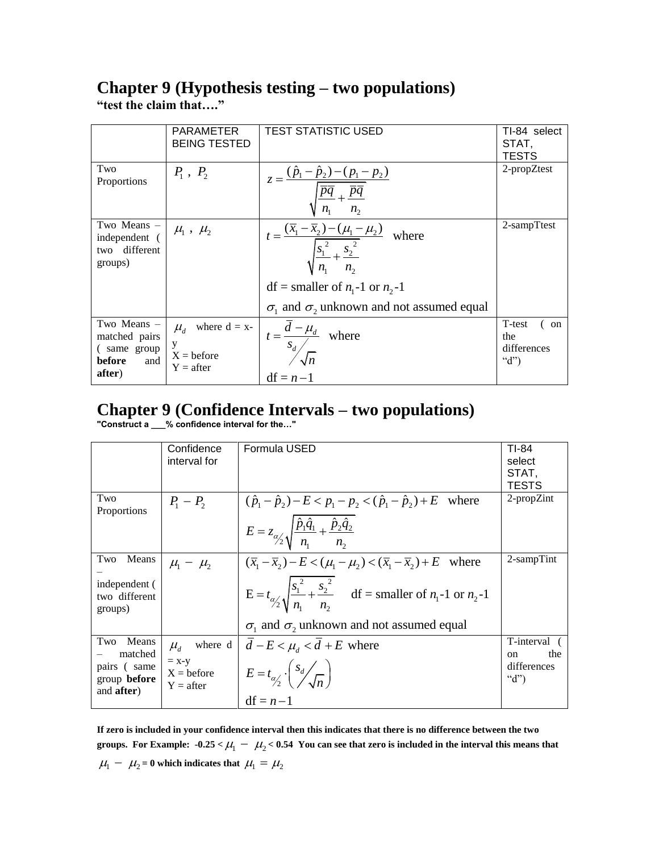# **Chapter 9 (Hypothesis testing – two populations)**

**"test the claim that…."**

|                                                                        | <b>PARAMETER</b><br><b>BEING TESTED</b>                                 | <b>TEST STATISTIC USED</b>                                                                                               | TI-84 select<br>STAT,<br><b>TESTS</b>           |
|------------------------------------------------------------------------|-------------------------------------------------------------------------|--------------------------------------------------------------------------------------------------------------------------|-------------------------------------------------|
| Two<br>Proportions                                                     | $P_1, P_2$                                                              | $z = \frac{(\hat{p}_1 - \hat{p}_2) - (p_1 - p_2)}{\sqrt{\overline{pq}} + \overline{pq}}$                                 | 2-propZtest                                     |
| Two Means -<br>independent (<br>different<br>two<br>groups)            | $\mu_1$ , $\mu_2$                                                       | $t = \frac{(\overline{x}_1 - \overline{x}_2) - (\mu_1 - \mu_2)}{\sqrt{\frac{s_1^2}{5_1^2} + \frac{s_2^2}{5_2^2}}}$ where | 2-sampTtest                                     |
|                                                                        |                                                                         | $df = smaller of n_1 - 1 or n_2 - 1$                                                                                     |                                                 |
|                                                                        |                                                                         | $\sigma_1$ and $\sigma_2$ unknown and not assumed equal                                                                  |                                                 |
| Two Means -<br>matched pairs<br>(same group<br>before<br>and<br>after) | where $d = x$ -<br>$\mu_{d}$<br>у<br>$X = \text{before}$<br>$Y = after$ | $t = \frac{d - \mu_d}{s_d}$ where<br>$df = n-1$                                                                          | T-test<br>(on<br>the<br>differences<br>" $d$ ") |

## **Chapter 9 (Confidence Intervals – two populations)**

**"Construct a \_\_\_% confidence interval for the…"**

|                                                                                     | Confidence<br>interval for                          | Formula USED                                                                                                                                                                                                                                                               | TI-84<br>select<br>STAT,<br>TESTS                             |
|-------------------------------------------------------------------------------------|-----------------------------------------------------|----------------------------------------------------------------------------------------------------------------------------------------------------------------------------------------------------------------------------------------------------------------------------|---------------------------------------------------------------|
| Two<br><b>Proportions</b>                                                           | $P_1 - P_2$                                         | $(\hat{p}_1 - \hat{p}_2) - E < p_1 - p_2 < (\hat{p}_1 - \hat{p}_2) + E$ where<br>$E = z_{\alpha/2} \sqrt{\frac{\hat{p}_1 \hat{q}_1}{n} + \frac{\hat{p}_2 \hat{q}_2}{n}}$                                                                                                   | 2-propZint                                                    |
| Two<br>Means<br>independent (<br>two different<br>groups)                           | $\mu_1 - \mu_2$                                     | $(\overline{x}_1 - \overline{x}_2) - E < (\mu_1 - \mu_2) < (\overline{x}_1 - \overline{x}_2) + E$ where<br>$E = t_{\alpha/2} \sqrt{\frac{s_1^2}{n_1} + \frac{s_2^2}{n_2}}$ df = smaller of $n_1$ -1 or $n_2$ -1<br>$\sigma_1$ and $\sigma_2$ unknown and not assumed equal | $2$ -sampTint                                                 |
| Two<br>Means<br>matched<br>pairs (same<br>group <b>before</b><br>and <b>after</b> ) | $\mu_{d}$<br>$= x-y$<br>$X = before$<br>$Y = after$ | where $d \mid d - E < \mu_d < d + E$ where<br>$E = t_{\alpha/2} \cdot \left( \frac{s_d}{\sqrt{n}} \right)$<br>$df = n-1$                                                                                                                                                   | T-interval<br>the<br><sub>on</sub><br>differences<br>" $d$ ") |

**If zero is included in your confidence interval then this indicates that there is no difference between the two**  groups. For Example:  $-0.25 < \mu_1 - \mu_2 < 0.54$  You can see that zero is included in the interval this means that  $\mu_1 - \mu_2 = 0$  which indicates that  $\mu_1 = \mu_2$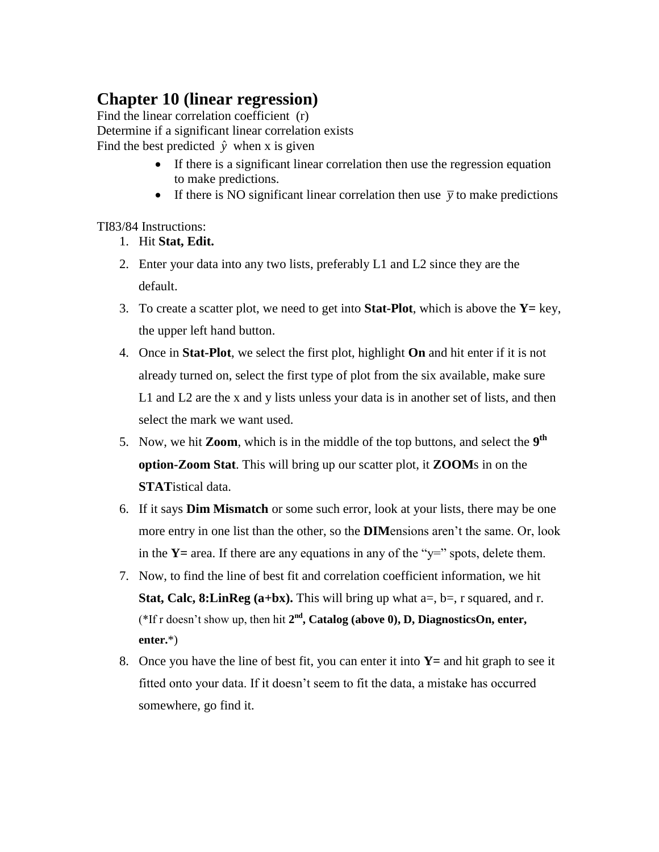## **Chapter 10 (linear regression)**

Find the linear correlation coefficient (r) Determine if a significant linear correlation exists Find the best predicted  $\hat{y}$  when x is given

- If there is a significant linear correlation then use the regression equation to make predictions.
- If there is NO significant linear correlation then use  $\bar{y}$  to make predictions

### TI83/84 Instructions:

- 1. Hit **Stat, Edit.**
- 2. Enter your data into any two lists, preferably L1 and L2 since they are the default.
- 3. To create a scatter plot, we need to get into **Stat-Plot**, which is above the **Y=** key, the upper left hand button.
- 4. Once in **Stat-Plot**, we select the first plot, highlight **On** and hit enter if it is not already turned on, select the first type of plot from the six available, make sure L1 and L2 are the x and y lists unless your data is in another set of lists, and then select the mark we want used.
- 5. Now, we hit **Zoom**, which is in the middle of the top buttons, and select the **9 th option-Zoom Stat**. This will bring up our scatter plot, it **ZOOM**s in on the **STAT**istical data.
- 6. If it says **Dim Mismatch** or some such error, look at your lists, there may be one more entry in one list than the other, so the **DIM**ensions aren't the same. Or, look in the  $Y=$  area. If there are any equations in any of the " $y=$ " spots, delete them.
- 7. Now, to find the line of best fit and correlation coefficient information, we hit **Stat, Calc, 8:LinReg (a+bx).** This will bring up what  $a=$ ,  $b=$ , r squared, and r. (\*If r doesn't show up, then hit  $2<sup>nd</sup>$ , **Catalog** (above 0), **D**, **DiagnosticsOn**, enter, **enter.**\*)
- 8. Once you have the line of best fit, you can enter it into **Y=** and hit graph to see it fitted onto your data. If it doesn't seem to fit the data, a mistake has occurred somewhere, go find it.